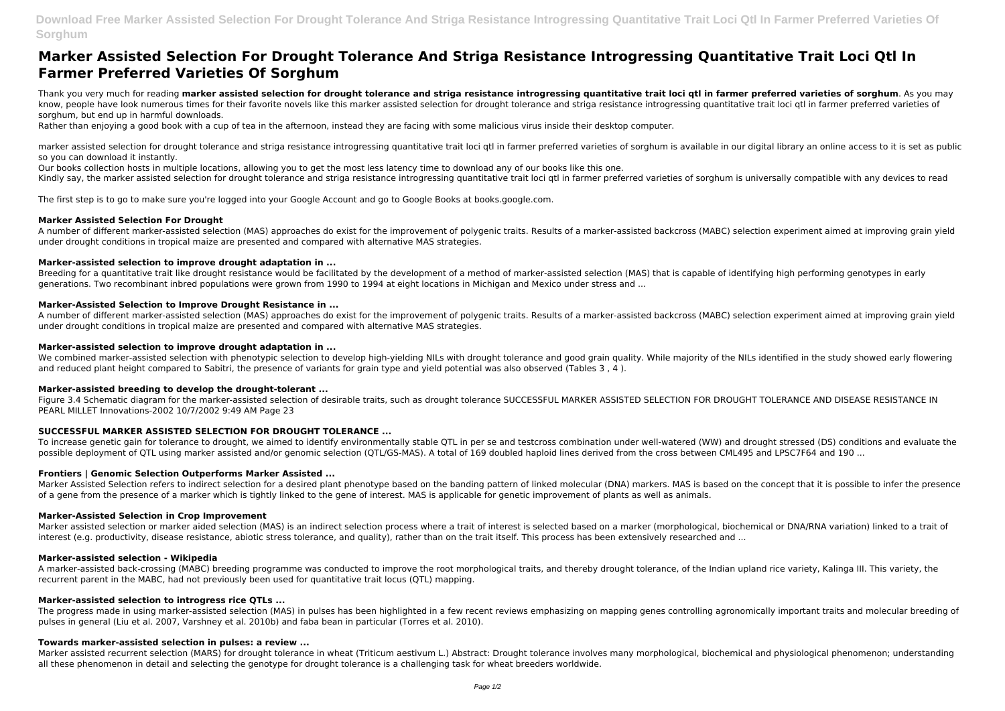**Download Free Marker Assisted Selection For Drought Tolerance And Striga Resistance Introgressing Quantitative Trait Loci Qtl In Farmer Preferred Varieties Of Sorghum**

# **Marker Assisted Selection For Drought Tolerance And Striga Resistance Introgressing Quantitative Trait Loci Qtl In Farmer Preferred Varieties Of Sorghum**

Thank you very much for reading marker assisted selection for drought tolerance and striga resistance introgressing quantitative trait loci qtl in farmer preferred varieties of sorghum. As you may know, people have look numerous times for their favorite novels like this marker assisted selection for drought tolerance and striga resistance introgressing quantitative trait loci qtl in farmer preferred varieties of sorghum, but end up in harmful downloads.

marker assisted selection for drought tolerance and striga resistance introgressing quantitative trait loci gtl in farmer preferred varieties of sorghum is available in our digital library an online access to it is set as so you can download it instantly.

Rather than enjoying a good book with a cup of tea in the afternoon, instead they are facing with some malicious virus inside their desktop computer.

Breeding for a quantitative trait like drought resistance would be facilitated by the development of a method of marker-assisted selection (MAS) that is capable of identifying high performing genotypes in early generations. Two recombinant inbred populations were grown from 1990 to 1994 at eight locations in Michigan and Mexico under stress and ...

Our books collection hosts in multiple locations, allowing you to get the most less latency time to download any of our books like this one.

Kindly say, the marker assisted selection for drought tolerance and striga resistance introgressing quantitative trait loci qtl in farmer preferred varieties of sorghum is universally compatible with any devices to read

The first step is to go to make sure you're logged into your Google Account and go to Google Books at books.google.com.

We combined marker-assisted selection with phenotypic selection to develop high-yielding NILs with drought tolerance and good grain quality. While majority of the NILs identified in the study showed early flowering and reduced plant height compared to Sabitri, the presence of variants for grain type and yield potential was also observed (Tables 3 , 4 ).

### **Marker Assisted Selection For Drought**

To increase genetic gain for tolerance to drought, we aimed to identify environmentally stable QTL in per se and testcross combination under well-watered (WW) and drought stressed (DS) conditions and evaluate the possible deployment of QTL using marker assisted and/or genomic selection (QTL/GS-MAS). A total of 169 doubled haploid lines derived from the cross between CML495 and LPSC7F64 and 190 ...

A number of different marker-assisted selection (MAS) approaches do exist for the improvement of polygenic traits. Results of a marker-assisted backcross (MABC) selection experiment aimed at improving grain yield under drought conditions in tropical maize are presented and compared with alternative MAS strategies.

### **Marker-assisted selection to improve drought adaptation in ...**

Marker Assisted Selection refers to indirect selection for a desired plant phenotype based on the banding pattern of linked molecular (DNA) markers. MAS is based on the concept that it is possible to infer the presence of a gene from the presence of a marker which is tightly linked to the gene of interest. MAS is applicable for genetic improvement of plants as well as animals.

Marker assisted selection or marker aided selection (MAS) is an indirect selection process where a trait of interest is selected based on a marker (morphological, biochemical or DNA/RNA variation) linked to a trait of interest (e.g. productivity, disease resistance, abiotic stress tolerance, and quality), rather than on the trait itself. This process has been extensively researched and ...

### **Marker‐Assisted Selection to Improve Drought Resistance in ...**

A number of different marker-assisted selection (MAS) approaches do exist for the improvement of polygenic traits. Results of a marker-assisted backcross (MABC) selection experiment aimed at improving grain yield under drought conditions in tropical maize are presented and compared with alternative MAS strategies.

The progress made in using marker-assisted selection (MAS) in pulses has been highlighted in a few recent reviews emphasizing on mapping genes controlling agronomically important traits and molecular breeding of pulses in general (Liu et al. 2007, Varshney et al. 2010b) and faba bean in particular (Torres et al. 2010).

### **Marker-assisted selection to improve drought adaptation in ...**

### **Marker-assisted breeding to develop the drought-tolerant ...**

Figure 3.4 Schematic diagram for the marker-assisted selection of desirable traits, such as drought tolerance SUCCESSFUL MARKER ASSISTED SELECTION FOR DROUGHT TOLERANCE AND DISEASE RESISTANCE IN PEARL MILLET Innovations-2002 10/7/2002 9:49 AM Page 23

### **SUCCESSFUL MARKER ASSISTED SELECTION FOR DROUGHT TOLERANCE ...**

### **Frontiers | Genomic Selection Outperforms Marker Assisted ...**

### **Marker-Assisted Selection in Crop Improvement**

### **Marker-assisted selection - Wikipedia**

A marker-assisted back-crossing (MABC) breeding programme was conducted to improve the root morphological traits, and thereby drought tolerance, of the Indian upland rice variety, Kalinga III. This variety, the recurrent parent in the MABC, had not previously been used for quantitative trait locus (QTL) mapping.

### **Marker-assisted selection to introgress rice QTLs ...**

### **Towards marker‐assisted selection in pulses: a review ...**

Marker assisted recurrent selection (MARS) for drought tolerance in wheat (Triticum aestivum L.) Abstract: Drought tolerance involves many morphological, biochemical and physiological phenomenon; understanding all these phenomenon in detail and selecting the genotype for drought tolerance is a challenging task for wheat breeders worldwide.